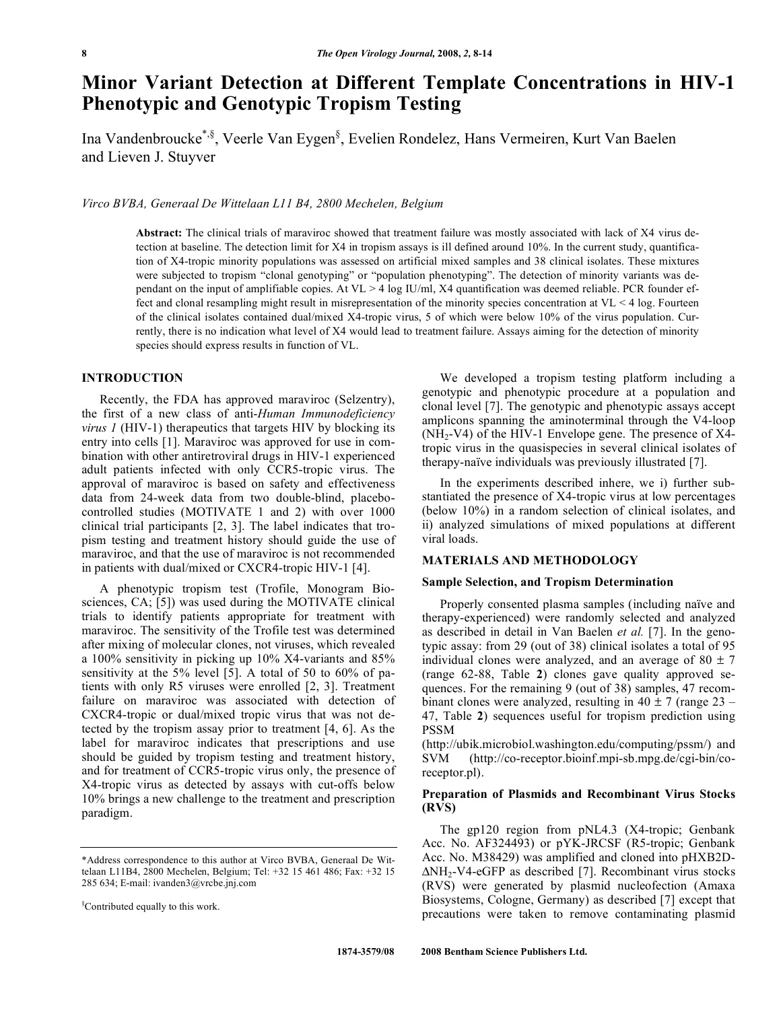# **Minor Variant Detection at Different Template Concentrations in HIV-1 Phenotypic and Genotypic Tropism Testing**

Ina Vandenbroucke\*,§, Veerle Van Eygen§ , Evelien Rondelez, Hans Vermeiren, Kurt Van Baelen and Lieven J. Stuyver

## *Virco BVBA, Generaal De Wittelaan L11 B4, 2800 Mechelen, Belgium*

**Abstract:** The clinical trials of maraviroc showed that treatment failure was mostly associated with lack of X4 virus detection at baseline. The detection limit for X4 in tropism assays is ill defined around 10%. In the current study, quantification of X4-tropic minority populations was assessed on artificial mixed samples and 38 clinical isolates. These mixtures were subjected to tropism "clonal genotyping" or "population phenotyping". The detection of minority variants was dependant on the input of amplifiable copies. At  $VL > 4$  log IU/ml, X4 quantification was deemed reliable. PCR founder effect and clonal resampling might result in misrepresentation of the minority species concentration at VL < 4 log. Fourteen of the clinical isolates contained dual/mixed X4-tropic virus, 5 of which were below 10% of the virus population. Currently, there is no indication what level of X4 would lead to treatment failure. Assays aiming for the detection of minority species should express results in function of VL.

## **INTRODUCTION**

 Recently, the FDA has approved maraviroc (Selzentry), the first of a new class of anti-*Human Immunodeficiency virus 1* (HIV-1) therapeutics that targets HIV by blocking its entry into cells [1]. Maraviroc was approved for use in combination with other antiretroviral drugs in HIV-1 experienced adult patients infected with only CCR5-tropic virus. The approval of maraviroc is based on safety and effectiveness data from 24-week data from two double-blind, placebocontrolled studies (MOTIVATE 1 and 2) with over 1000 clinical trial participants [2, 3]. The label indicates that tropism testing and treatment history should guide the use of maraviroc, and that the use of maraviroc is not recommended in patients with dual/mixed or CXCR4-tropic HIV-1 [4].

 A phenotypic tropism test (Trofile, Monogram Biosciences, CA; [5]) was used during the MOTIVATE clinical trials to identify patients appropriate for treatment with maraviroc. The sensitivity of the Trofile test was determined after mixing of molecular clones, not viruses, which revealed a 100% sensitivity in picking up 10% X4-variants and 85% sensitivity at the 5% level [5]. A total of 50 to 60% of patients with only R5 viruses were enrolled [2, 3]. Treatment failure on maraviroc was associated with detection of CXCR4-tropic or dual/mixed tropic virus that was not detected by the tropism assay prior to treatment [4, 6]. As the label for maraviroc indicates that prescriptions and use should be guided by tropism testing and treatment history, and for treatment of CCR5-tropic virus only, the presence of X4-tropic virus as detected by assays with cut-offs below 10% brings a new challenge to the treatment and prescription paradigm.

 We developed a tropism testing platform including a genotypic and phenotypic procedure at a population and clonal level [7]. The genotypic and phenotypic assays accept amplicons spanning the aminoterminal through the V4-loop  $(NH<sub>2</sub>-V4)$  of the HIV-1 Envelope gene. The presence of X4tropic virus in the quasispecies in several clinical isolates of therapy-naïve individuals was previously illustrated [7].

 In the experiments described inhere, we i) further substantiated the presence of X4-tropic virus at low percentages (below 10%) in a random selection of clinical isolates, and ii) analyzed simulations of mixed populations at different viral loads.

## **MATERIALS AND METHODOLOGY**

### **Sample Selection, and Tropism Determination**

 Properly consented plasma samples (including naïve and therapy-experienced) were randomly selected and analyzed as described in detail in Van Baelen *et al.* [7]. In the genotypic assay: from 29 (out of 38) clinical isolates a total of 95 individual clones were analyzed, and an average of  $80 \pm 7$ (range 62-88, Table **2**) clones gave quality approved sequences. For the remaining 9 (out of 38) samples, 47 recombinant clones were analyzed, resulting in  $40 \pm 7$  (range  $23 -$ 47, Table **2**) sequences useful for tropism prediction using PSSM

(http://ubik.microbiol.washington.edu/computing/pssm/) and SVM (http://co-receptor.bioinf.mpi-sb.mpg.de/cgi-bin/coreceptor.pl).

## **Preparation of Plasmids and Recombinant Virus Stocks (RVS)**

 The gp120 region from pNL4.3 (X4-tropic; Genbank Acc. No. AF324493) or pYK-JRCSF (R5-tropic; Genbank Acc. No. M38429) was amplified and cloned into pHXB2D-  $\Delta NH_2$ -V4-eGFP as described [7]. Recombinant virus stocks (RVS) were generated by plasmid nucleofection (Amaxa Biosystems, Cologne, Germany) as described [7] except that precautions were taken to remove contaminating plasmid

<sup>\*</sup>Address correspondence to this author at Virco BVBA, Generaal De Wittelaan L11B4, 2800 Mechelen, Belgium; Tel: +32 15 461 486; Fax: +32 15 285 634; E-mail: ivanden3@vrcbe.jnj.com

<sup>§</sup> Contributed equally to this work.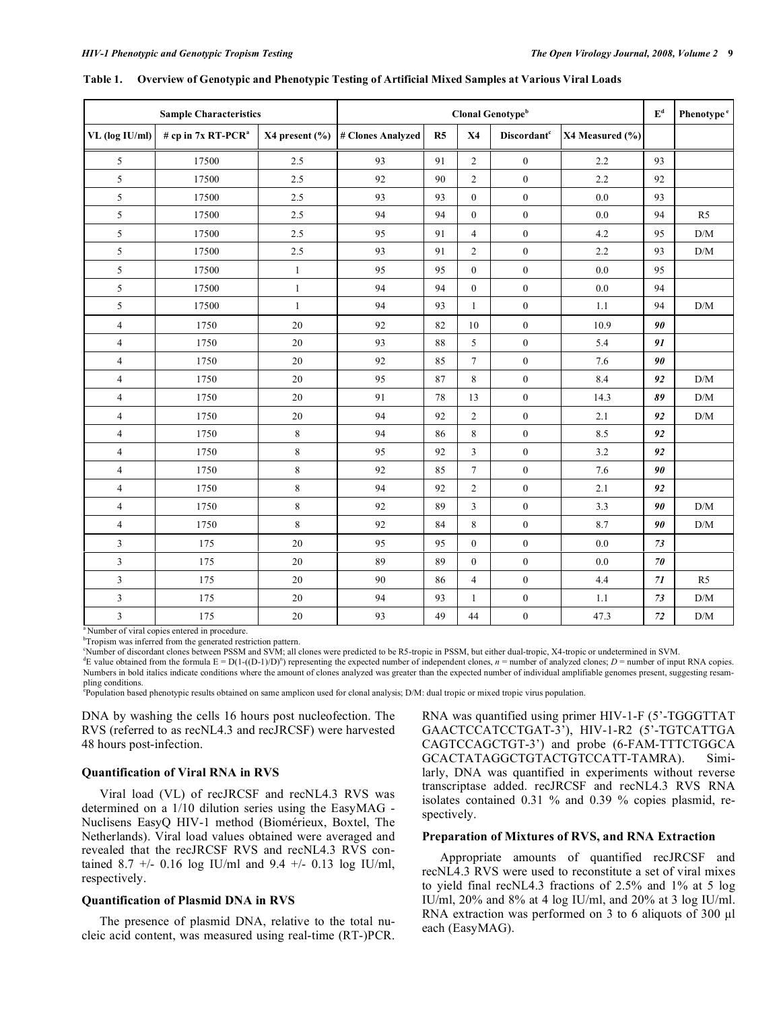| <b>Sample Characteristics</b> |                                |                      | Clonal Genotype <sup>b</sup> |    |                |                         |                 | $\mathbf{E}^\text{d}$ | Phenotype <sup>e</sup>  |
|-------------------------------|--------------------------------|----------------------|------------------------------|----|----------------|-------------------------|-----------------|-----------------------|-------------------------|
| VL (log IU/ml)                | # cp in 7x RT-PCR <sup>a</sup> | $X4$ present $(\% )$ | # Clones Analyzed            | R5 | <b>X4</b>      | Discordant <sup>c</sup> | X4 Measured (%) |                       |                         |
| 5                             | 17500                          | 2.5                  | 93                           | 91 | $\overline{c}$ | $\mathbf{0}$            | 2.2             | 93                    |                         |
| 5                             | 17500                          | 2.5                  | 92                           | 90 | $\overline{2}$ | $\boldsymbol{0}$        | 2.2             | 92                    |                         |
| 5                             | 17500                          | 2.5                  | 93                           | 93 | $\mathbf{0}$   | $\mathbf{0}$            | $0.0\,$         | 93                    |                         |
| $\sqrt{5}$                    | 17500                          | 2.5                  | 94                           | 94 | $\overline{0}$ | $\mathbf{0}$            | 0.0             | 94                    | R <sub>5</sub>          |
| 5                             | 17500                          | 2.5                  | 95                           | 91 | $\overline{4}$ | $\boldsymbol{0}$        | 4.2             | 95                    | $\mathrm{D}/\mathrm{M}$ |
| 5                             | 17500                          | 2.5                  | 93                           | 91 | $\overline{2}$ | $\boldsymbol{0}$        | 2.2             | 93                    | $\rm{D}/\rm{M}$         |
| 5                             | 17500                          | $\mathbf{1}$         | 95                           | 95 | $\overline{0}$ | $\boldsymbol{0}$        | 0.0             | 95                    |                         |
| 5                             | 17500                          | $\mathbf{1}$         | 94                           | 94 | $\overline{0}$ | $\boldsymbol{0}$        | 0.0             | 94                    |                         |
| 5                             | 17500                          | $\mathbf{1}$         | 94                           | 93 | $\mathbf{1}$   | $\boldsymbol{0}$        | 1.1             | 94                    | $\mathrm{D}/\mathrm{M}$ |
| $\overline{4}$                | 1750                           | 20                   | 92                           | 82 | 10             | $\boldsymbol{0}$        | 10.9            | 90                    |                         |
| $\overline{4}$                | 1750                           | 20                   | 93                           | 88 | 5              | $\mathbf{0}$            | 5.4             | 91                    |                         |
| $\overline{4}$                | 1750                           | 20                   | 92                           | 85 | $\tau$         | $\boldsymbol{0}$        | 7.6             | 90                    |                         |
| $\overline{4}$                | 1750                           | $20\,$               | 95                           | 87 | 8              | $\boldsymbol{0}$        | 8.4             | 92                    | $\rm{D}/\rm{M}$         |
| $\overline{4}$                | 1750                           | 20                   | 91                           | 78 | 13             | $\boldsymbol{0}$        | 14.3            | 89                    | $\mathrm{D}/\mathrm{M}$ |
| $\overline{4}$                | 1750                           | $20\,$               | 94                           | 92 | $\overline{c}$ | $\boldsymbol{0}$        | 2.1             | 92                    | $\rm{D}/\rm{M}$         |
| $\overline{4}$                | 1750                           | 8                    | 94                           | 86 | 8              | $\boldsymbol{0}$        | 8.5             | 92                    |                         |
| $\overline{4}$                | 1750                           | $\,$ 8 $\,$          | 95                           | 92 | $\overline{3}$ | $\mathbf{0}$            | 3.2             | 92                    |                         |
| $\overline{4}$                | 1750                           | 8                    | 92                           | 85 | $\tau$         | $\mathbf{0}$            | 7.6             | 90                    |                         |
| $\overline{4}$                | 1750                           | $\,8\,$              | 94                           | 92 | $\overline{c}$ | $\boldsymbol{0}$        | 2.1             | 92                    |                         |
| $\overline{\mathbf{4}}$       | 1750                           | $\,$ 8 $\,$          | 92                           | 89 | 3              | $\boldsymbol{0}$        | 3.3             | 90                    | $\mathrm{D}/\mathrm{M}$ |
| $\overline{4}$                | 1750                           | 8                    | 92                           | 84 | 8              | $\mathbf{0}$            | 8.7             | 90                    | D/M                     |
| 3                             | 175                            | 20                   | 95                           | 95 | $\overline{0}$ | $\mathbf{0}$            | 0.0             | 73                    |                         |
| $\mathfrak z$                 | 175                            | $20\,$               | 89                           | 89 | $\overline{0}$ | $\mathbf{0}$            | 0.0             | 70                    |                         |
| $\mathfrak z$                 | 175                            | $20\,$               | 90                           | 86 | $\overline{4}$ | $\boldsymbol{0}$        | 4.4             | 71                    | R5                      |
| $\overline{\mathbf{3}}$       | 175                            | $20\,$               | 94                           | 93 | $\mathbf{1}$   | $\boldsymbol{0}$        | 1.1             | 73                    | $\mathrm{D}/\mathrm{M}$ |
| $\overline{\mathbf{3}}$       | 175                            | 20                   | 93                           | 49 | 44             | $\boldsymbol{0}$        | 47.3            | 72                    | $\rm{D}/\rm{M}$         |

#### **Table 1. Overview of Genotypic and Phenotypic Testing of Artificial Mixed Samples at Various Viral Loads**

<sup>a</sup> Number of viral copies entered in procedure.

<sup>b</sup>Tropism was inferred from the generated restriction pattern.

Number of discordant clones between PSSM and SVM; all clones were predicted to be R5-tropic in PSSM, but either dual-tropic, X4-tropic or undetermined in SVM.

E value obtained from the formula  $E = D(1-(D-1)/D)^n$  representing the expected number of independent clones, *n* = number of analyzed clones; *D* = number of input RNA copies. Numbers in bold italics indicate conditions where the amount of clones analyzed was greater than the expected number of individual amplifiable genomes present, suggesting resampling conditions.

e Population based phenotypic results obtained on same amplicon used for clonal analysis; D/M: dual tropic or mixed tropic virus population.

DNA by washing the cells 16 hours post nucleofection. The RVS (referred to as recNL4.3 and recJRCSF) were harvested 48 hours post-infection.

## **Quantification of Viral RNA in RVS**

 Viral load (VL) of recJRCSF and recNL4.3 RVS was determined on a 1/10 dilution series using the EasyMAG - Nuclisens EasyQ HIV-1 method (Biomérieux, Boxtel, The Netherlands). Viral load values obtained were averaged and revealed that the recJRCSF RVS and recNL4.3 RVS contained 8.7 +/- 0.16 log IU/ml and 9.4 +/- 0.13 log IU/ml, respectively.

### **Quantification of Plasmid DNA in RVS**

 The presence of plasmid DNA, relative to the total nucleic acid content, was measured using real-time (RT-)PCR. RNA was quantified using primer HIV-1-F (5'-TGGGTTAT GAACTCCATCCTGAT-3'), HIV-1-R2 (5'-TGTCATTGA CAGTCCAGCTGT-3') and probe (6-FAM-TTTCTGGCA GCACTATAGGCTGTACTGTCCATT-TAMRA). Similarly, DNA was quantified in experiments without reverse transcriptase added. recJRCSF and recNL4.3 RVS RNA isolates contained 0.31 % and 0.39 % copies plasmid, respectively.

## **Preparation of Mixtures of RVS, and RNA Extraction**

 Appropriate amounts of quantified recJRCSF and recNL4.3 RVS were used to reconstitute a set of viral mixes to yield final recNL4.3 fractions of 2.5% and 1% at 5 log IU/ml, 20% and 8% at 4 log IU/ml, and 20% at 3 log IU/ml. RNA extraction was performed on 3 to 6 aliquots of 300  $\mu$ l each (EasyMAG).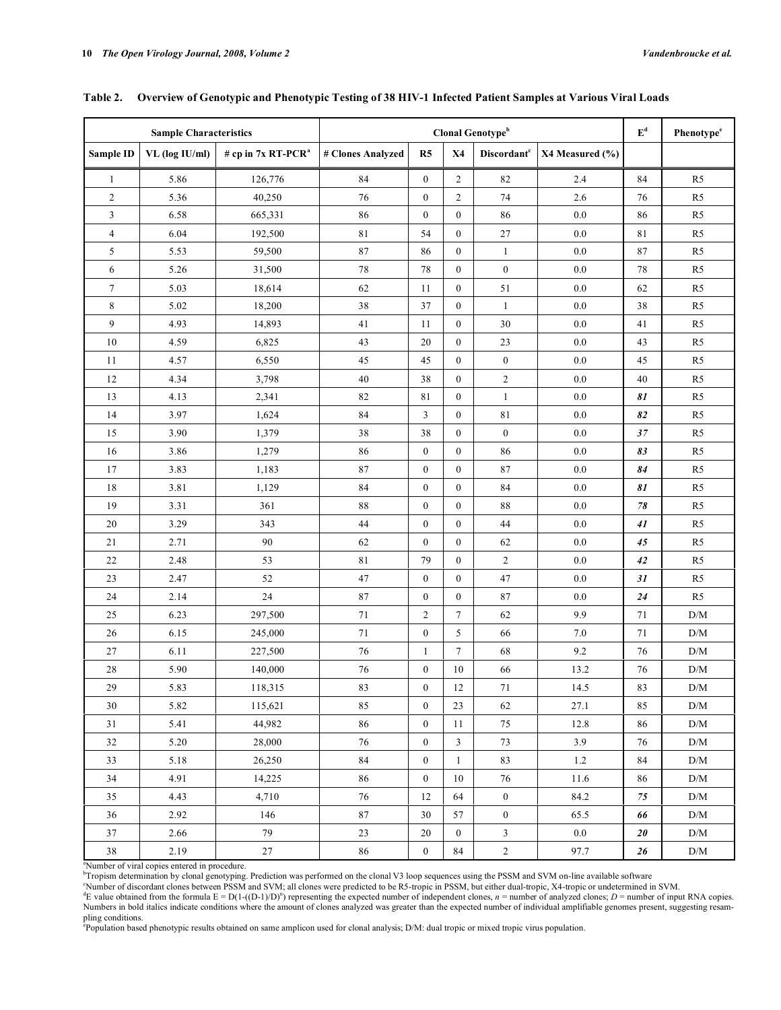| <b>Sample Characteristics</b> |                |                                | Clonal Genotype <sup>b</sup> |                  |                  |                                |                 |               | Phenotype <sup>e</sup> |
|-------------------------------|----------------|--------------------------------|------------------------------|------------------|------------------|--------------------------------|-----------------|---------------|------------------------|
| <b>Sample ID</b>              | VL (log IU/ml) | # cp in 7x RT-PCR <sup>a</sup> | # Clones Analyzed            | R5               | <b>X4</b>        | <b>Discordant</b> <sup>c</sup> | X4 Measured (%) |               |                        |
| $\mathbf{1}$                  | 5.86           | 126,776                        | 84                           | $\mathbf{0}$     | $\overline{2}$   | 82                             | 2.4             | 84            | R <sub>5</sub>         |
| $\overline{c}$                | 5.36           | 40,250                         | 76                           | $\boldsymbol{0}$ | $\overline{c}$   | 74                             | 2.6             | 76            | R <sub>5</sub>         |
| $\mathfrak z$                 | 6.58           | 665,331                        | 86                           | $\boldsymbol{0}$ | $\boldsymbol{0}$ | 86                             | $0.0\,$         | 86            | R5                     |
| $\overline{4}$                | 6.04           | 192,500                        | $8\sqrt{1}$                  | 54               | $\mathbf{0}$     | $27\,$                         | $0.0\,$         | 81            | R <sub>5</sub>         |
| 5                             | 5.53           | 59,500                         | $\bf 87$                     | 86               | $\boldsymbol{0}$ | $\mathbf{1}$                   | 0.0             | 87            | R <sub>5</sub>         |
| 6                             | 5.26           | 31,500                         | $78\,$                       | 78               | $\boldsymbol{0}$ | $\boldsymbol{0}$               | $0.0\,$         | 78            | R5                     |
| $\boldsymbol{7}$              | 5.03           | 18,614                         | 62                           | 11               | $\boldsymbol{0}$ | $51\,$                         | $0.0\,$         | 62            | R <sub>5</sub>         |
| $\,$ 8 $\,$                   | 5.02           | 18,200                         | 38                           | 37               | $\boldsymbol{0}$ | $\mathbf{1}$                   | $0.0\,$         | 38            | R5                     |
| 9                             | 4.93           | 14,893                         | 41                           | 11               | $\mathbf{0}$     | 30                             | 0.0             | 41            | R <sub>5</sub>         |
| 10                            | 4.59           | 6,825                          | 43                           | 20               | $\boldsymbol{0}$ | $23\,$                         | 0.0             | 43            | R <sub>5</sub>         |
| 11                            | 4.57           | 6,550                          | 45                           | 45               | $\boldsymbol{0}$ | $\boldsymbol{0}$               | $0.0\,$         | 45            | R <sub>5</sub>         |
| 12                            | 4.34           | 3,798                          | $40\,$                       | 38               | $\mathbf{0}$     | $\boldsymbol{2}$               | $0.0\,$         | 40            | R <sub>5</sub>         |
| 13                            | 4.13           | 2,341                          | 82                           | 81               | $\boldsymbol{0}$ | $\mathbf{1}$                   | $0.0\,$         | 81            | R5                     |
| 14                            | 3.97           | 1,624                          | 84                           | $\overline{3}$   | $\boldsymbol{0}$ | $8\sqrt{1}$                    | $0.0\,$         | 82            | R5                     |
| 15                            | 3.90           | 1,379                          | $3\,$                        | 38               | $\boldsymbol{0}$ | $\boldsymbol{0}$               | $0.0\,$         | $37\,$        | R <sub>5</sub>         |
| 16                            | 3.86           | 1,279                          | 86                           | $\boldsymbol{0}$ | $\boldsymbol{0}$ | 86                             | $0.0\,$         | 83            | R <sub>5</sub>         |
| 17                            | 3.83           | 1,183                          | $\bf 87$                     | $\boldsymbol{0}$ | $\boldsymbol{0}$ | 87                             | $0.0\,$         | 84            | R <sub>5</sub>         |
| 18                            | 3.81           | 1,129                          | 84                           | $\boldsymbol{0}$ | $\boldsymbol{0}$ | $\bf 84$                       | $0.0\,$         | 81            | R <sub>5</sub>         |
| 19                            | 3.31           | 361                            | 88                           | $\boldsymbol{0}$ | $\boldsymbol{0}$ | 88                             | $0.0\,$         | $7\mathbf{8}$ | R <sub>5</sub>         |
| $20\,$                        | 3.29           | 343                            | 44                           | $\boldsymbol{0}$ | $\boldsymbol{0}$ | $44\,$                         | $0.0\,$         | 41            | R <sub>5</sub>         |
| 21                            | 2.71           | 90                             | 62                           | $\boldsymbol{0}$ | $\boldsymbol{0}$ | 62                             | 0.0             | 45            | R <sub>5</sub>         |
| $22\,$                        | 2.48           | 53                             | 81                           | 79               | $\boldsymbol{0}$ | $\overline{c}$                 | $0.0\,$         | $42\,$        | R5                     |
| 23                            | 2.47           | 52                             | 47                           | $\boldsymbol{0}$ | $\boldsymbol{0}$ | 47                             | $0.0\,$         | 31            | R <sub>5</sub>         |
| 24                            | 2.14           | 24                             | $\bf 87$                     | $\boldsymbol{0}$ | $\boldsymbol{0}$ | $87\,$                         | $0.0\,$         | $\sqrt{24}$   | R5                     |
| 25                            | 6.23           | 297,500                        | 71                           | $\overline{2}$   | $\tau$           | 62                             | 9.9             | 71            | D/M                    |
| 26                            | 6.15           | 245,000                        | 71                           | $\boldsymbol{0}$ | 5                | 66                             | 7.0             | 71            | D/M                    |
| 27                            | 6.11           | 227,500                        | $76\,$                       | $\mathbf{1}$     | $\tau$           | 68                             | 9.2             | 76            | D/M                    |
| 28                            | 5.90           | 140,000                        | 76                           | $\boldsymbol{0}$ | $10\,$           | 66                             | 13.2            | 76            | D/M                    |
| 29                            | 5.83           | 118,315                        | 83                           | $\boldsymbol{0}$ | 12               | 71                             | 14.5            | 83            | D/M                    |
| 30                            | 5.82           | 115,621                        | 85                           | $\boldsymbol{0}$ | 23               | 62                             | 27.1            | 85            | D/M                    |
| 31                            | 5.41           | 44,982                         | 86                           | $\boldsymbol{0}$ | 11               | 75                             | $12.8\,$        | 86            | D/M                    |
| 32                            | 5.20           | 28,000                         | 76                           | $\boldsymbol{0}$ | 3                | 73                             | 3.9             | 76            | D/M                    |
| 33                            | 5.18           | 26,250                         | 84                           | $\boldsymbol{0}$ | $\mathbf{1}$     | 83                             | 1.2             | 84            | D/M                    |
| 34                            | 4.91           | 14,225                         | 86                           | $\boldsymbol{0}$ | 10               | 76                             | 11.6            | 86            | D/M                    |
| 35                            | 4.43           | 4,710                          | 76                           | 12               | 64               | $\boldsymbol{0}$               | 84.2            | 75            | D/M                    |
| 36                            | 2.92           | 146                            | $\bf 87$                     | 30               | 57               | $\mathbf{0}$                   | 65.5            | 66            | D/M                    |
| 37                            | 2.66           | 79                             | 23                           | 20               | $\boldsymbol{0}$ | 3                              | 0.0             | 20            | D/M                    |
| 38                            | 2.19           | $27\,$                         | 86                           | $\overline{0}$   | 84               | $\sqrt{2}$                     | 97.7            | 26            | $\rm{D}/\rm{M}$        |

## **Table 2. Overview of Genotypic and Phenotypic Testing of 38 HIV-1 Infected Patient Samples at Various Viral Loads**

"Number of viral copies entered in procedure.<br>"Tropism determination by clonal genotyping. Prediction was performed on the clonal V3 loop sequences using the PSSM and SVM on-line available software<br>"Number of discordant cl

E value obtained from the formula  $E = D(1-(D-1)/D)^n$  representing the expected number of independent clones,  $n =$  number of analyzed clones;  $D =$  number of input RNA copies. Numbers in bold italics indicate conditions where the amount of clones analyzed was greater than the expected number of individual amplifiable genomes present, suggesting resam-

pling conditions.<br><sup>e</sup>Population based phenotypic results obtained on same amplicon used for clonal analysis; D/M: dual tropic or mixed tropic virus population.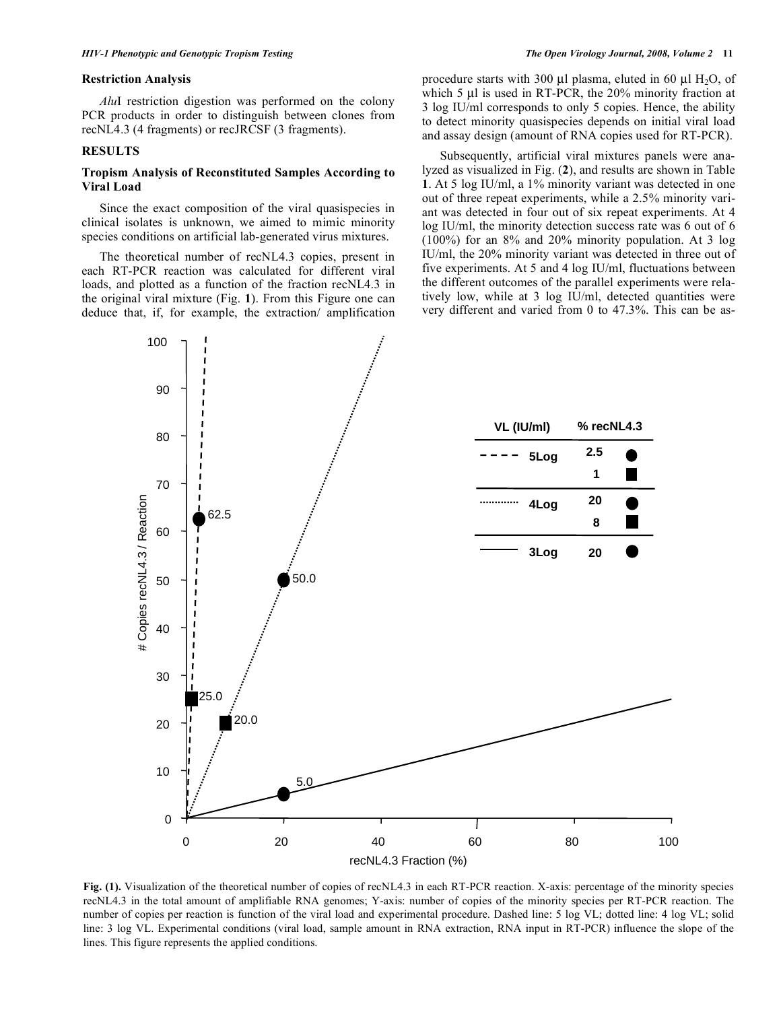#### **Restriction Analysis**

 *Alu*I restriction digestion was performed on the colony PCR products in order to distinguish between clones from recNL4.3 (4 fragments) or recJRCSF (3 fragments).

### **RESULTS**

#### **Tropism Analysis of Reconstituted Samples According to Viral Load**

 Since the exact composition of the viral quasispecies in clinical isolates is unknown, we aimed to mimic minority species conditions on artificial lab-generated virus mixtures.

 The theoretical number of recNL4.3 copies, present in each RT-PCR reaction was calculated for different viral loads, and plotted as a function of the fraction recNL4.3 in the original viral mixture (Fig. **1**). From this Figure one can deduce that, if, for example, the extraction/ amplification procedure starts with 300 μl plasma, eluted in 60 μl  $H_2O$ , of which 5 μl is used in RT-PCR, the 20% minority fraction at 3 log IU/ml corresponds to only 5 copies. Hence, the ability to detect minority quasispecies depends on initial viral load and assay design (amount of RNA copies used for RT-PCR).

 Subsequently, artificial viral mixtures panels were analyzed as visualized in Fig. (**2**), and results are shown in Table **1**. At 5 log IU/ml, a 1% minority variant was detected in one out of three repeat experiments, while a 2.5% minority variant was detected in four out of six repeat experiments. At 4 log IU/ml, the minority detection success rate was 6 out of 6 (100%) for an 8% and 20% minority population. At 3 log IU/ml, the 20% minority variant was detected in three out of five experiments. At 5 and 4 log IU/ml, fluctuations between the different outcomes of the parallel experiments were relatively low, while at 3 log IU/ml, detected quantities were very different and varied from 0 to 47.3%. This can be as-



**Fig. (1).** Visualization of the theoretical number of copies of recNL4.3 in each RT-PCR reaction. X-axis: percentage of the minority species recNL4.3 in the total amount of amplifiable RNA genomes; Y-axis: number of copies of the minority species per RT-PCR reaction. The number of copies per reaction is function of the viral load and experimental procedure. Dashed line: 5 log VL; dotted line: 4 log VL; solid line: 3 log VL. Experimental conditions (viral load, sample amount in RNA extraction, RNA input in RT-PCR) influence the slope of the lines. This figure represents the applied conditions.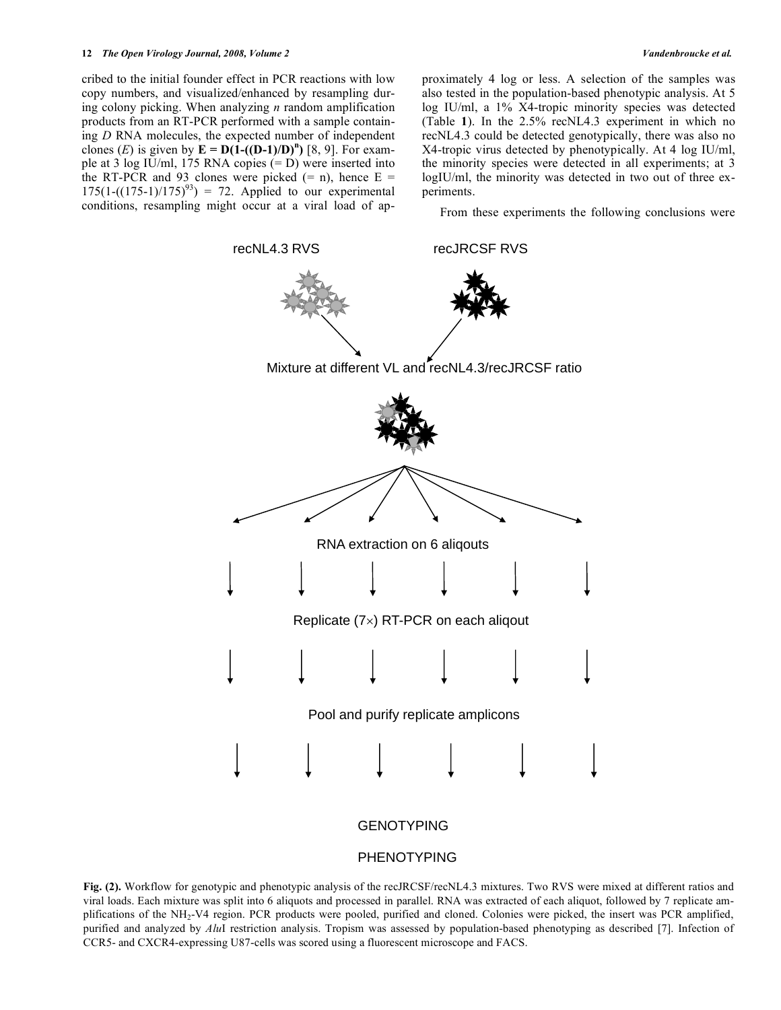#### **12** *The Open Virology Journal, 2008, Volume 2 Vandenbroucke et al.*

cribed to the initial founder effect in PCR reactions with low copy numbers, and visualized/enhanced by resampling during colony picking. When analyzing *n* random amplification products from an RT-PCR performed with a sample containing *D* RNA molecules, the expected number of independent clones (*E*) is given by  $\mathbf{E} = \mathbf{D}(\mathbf{1}-(\mathbf{D-1})/\mathbf{D})^n$  [8, 9]. For example at 3 log IU/ml, 175 RNA copies (= D) were inserted into the RT-PCR and 93 clones were picked  $(= n)$ , hence  $E =$  $175(1-((175-1)/175)^{93}) = 72$ . Applied to our experimental conditions, resampling might occur at a viral load of approximately 4 log or less. A selection of the samples was also tested in the population-based phenotypic analysis. At 5 log IU/ml, a 1% X4-tropic minority species was detected (Table **1**). In the 2.5% recNL4.3 experiment in which no recNL4.3 could be detected genotypically, there was also no X4-tropic virus detected by phenotypically. At 4 log IU/ml, the minority species were detected in all experiments; at 3 logIU/ml, the minority was detected in two out of three experiments.

From these experiments the following conclusions were



## PHENOTYPING

**Fig. (2).** Workflow for genotypic and phenotypic analysis of the recJRCSF/recNL4.3 mixtures. Two RVS were mixed at different ratios and viral loads. Each mixture was split into 6 aliquots and processed in parallel. RNA was extracted of each aliquot, followed by 7 replicate amplifications of the NH<sub>2</sub>-V4 region. PCR products were pooled, purified and cloned. Colonies were picked, the insert was PCR amplified, purified and analyzed by *Alu*I restriction analysis. Tropism was assessed by population-based phenotyping as described [7]. Infection of CCR5- and CXCR4-expressing U87-cells was scored using a fluorescent microscope and FACS.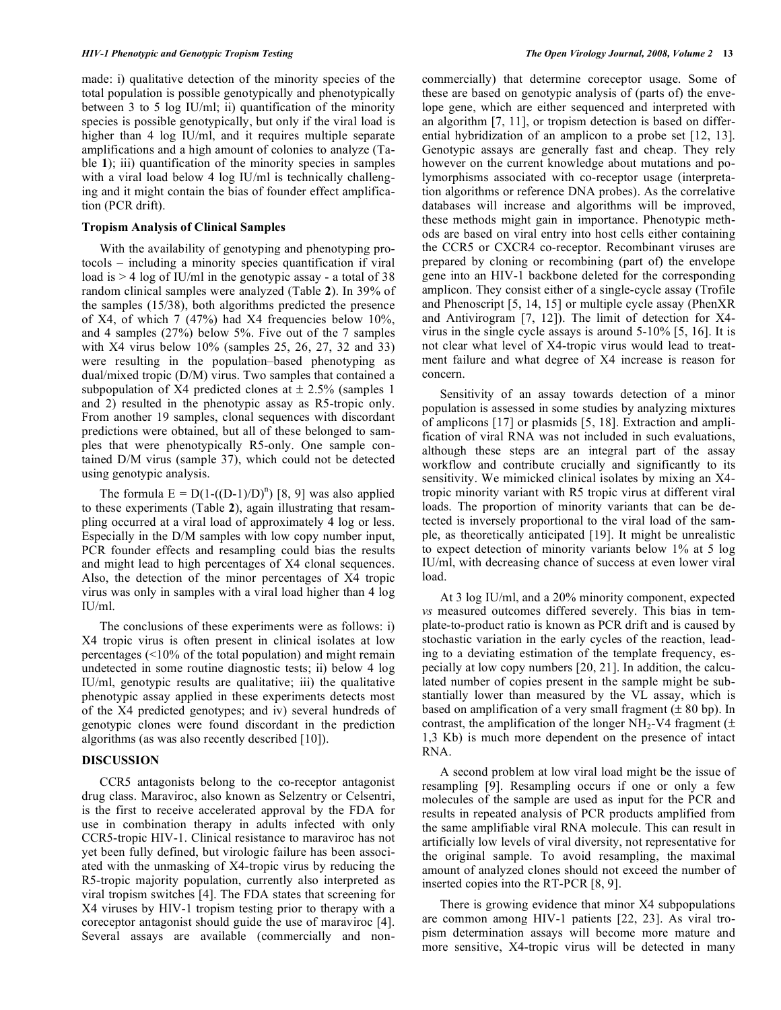made: i) qualitative detection of the minority species of the total population is possible genotypically and phenotypically between 3 to 5 log IU/ml; ii) quantification of the minority species is possible genotypically, but only if the viral load is higher than 4 log IU/ml, and it requires multiple separate amplifications and a high amount of colonies to analyze (Table 1); iii) quantification of the minority species in samples with a viral load below 4 log IU/ml is technically challenging and it might contain the bias of founder effect amplification (PCR drift).

## **Tropism Analysis of Clinical Samples**

 With the availability of genotyping and phenotyping protocols – including a minority species quantification if viral load is  $>$  4 log of IU/ml in the genotypic assay - a total of 38 random clinical samples were analyzed (Table **2**). In 39% of the samples (15/38), both algorithms predicted the presence of X4, of which 7 (47%) had X4 frequencies below  $10\%$ , and 4 samples (27%) below 5%. Five out of the 7 samples with X4 virus below 10% (samples 25, 26, 27, 32 and 33) were resulting in the population–based phenotyping as dual/mixed tropic (D/M) virus. Two samples that contained a subpopulation of X4 predicted clones at  $\pm$  2.5% (samples 1 and 2) resulted in the phenotypic assay as R5-tropic only. From another 19 samples, clonal sequences with discordant predictions were obtained, but all of these belonged to samples that were phenotypically R5-only. One sample contained D/M virus (sample 37), which could not be detected using genotypic analysis.

The formula  $E = D(1-(D-1)/D)^n$  [8, 9] was also applied to these experiments (Table **2**), again illustrating that resampling occurred at a viral load of approximately 4 log or less. Especially in the D/M samples with low copy number input, PCR founder effects and resampling could bias the results and might lead to high percentages of X4 clonal sequences. Also, the detection of the minor percentages of X4 tropic virus was only in samples with a viral load higher than 4 log IU/ml.

 The conclusions of these experiments were as follows: i) X4 tropic virus is often present in clinical isolates at low percentages (<10% of the total population) and might remain undetected in some routine diagnostic tests; ii) below 4 log IU/ml, genotypic results are qualitative; iii) the qualitative phenotypic assay applied in these experiments detects most of the X4 predicted genotypes; and iv) several hundreds of genotypic clones were found discordant in the prediction algorithms (as was also recently described [10]).

#### **DISCUSSION**

 CCR5 antagonists belong to the co-receptor antagonist drug class. Maraviroc, also known as Selzentry or Celsentri, is the first to receive accelerated approval by the FDA for use in combination therapy in adults infected with only CCR5-tropic HIV-1. Clinical resistance to maraviroc has not yet been fully defined, but virologic failure has been associated with the unmasking of X4-tropic virus by reducing the R5-tropic majority population, currently also interpreted as viral tropism switches [4]. The FDA states that screening for X4 viruses by HIV-1 tropism testing prior to therapy with a coreceptor antagonist should guide the use of maraviroc [4]. Several assays are available (commercially and noncommercially) that determine coreceptor usage. Some of these are based on genotypic analysis of (parts of) the envelope gene, which are either sequenced and interpreted with an algorithm [7, 11], or tropism detection is based on differential hybridization of an amplicon to a probe set [12, 13]. Genotypic assays are generally fast and cheap. They rely however on the current knowledge about mutations and polymorphisms associated with co-receptor usage (interpretation algorithms or reference DNA probes). As the correlative databases will increase and algorithms will be improved, these methods might gain in importance. Phenotypic methods are based on viral entry into host cells either containing the CCR5 or CXCR4 co-receptor. Recombinant viruses are prepared by cloning or recombining (part of) the envelope gene into an HIV-1 backbone deleted for the corresponding amplicon. They consist either of a single-cycle assay (Trofile and Phenoscript [5, 14, 15] or multiple cycle assay (PhenXR and Antivirogram [7, 12]). The limit of detection for X4 virus in the single cycle assays is around 5-10% [5, 16]. It is not clear what level of X4-tropic virus would lead to treatment failure and what degree of X4 increase is reason for concern.

 Sensitivity of an assay towards detection of a minor population is assessed in some studies by analyzing mixtures of amplicons [17] or plasmids [5, 18]. Extraction and amplification of viral RNA was not included in such evaluations, although these steps are an integral part of the assay workflow and contribute crucially and significantly to its sensitivity. We mimicked clinical isolates by mixing an X4 tropic minority variant with R5 tropic virus at different viral loads. The proportion of minority variants that can be detected is inversely proportional to the viral load of the sample, as theoretically anticipated [19]. It might be unrealistic to expect detection of minority variants below 1% at 5 log IU/ml, with decreasing chance of success at even lower viral load.

 At 3 log IU/ml, and a 20% minority component, expected *vs* measured outcomes differed severely. This bias in template-to-product ratio is known as PCR drift and is caused by stochastic variation in the early cycles of the reaction, leading to a deviating estimation of the template frequency, especially at low copy numbers [20, 21]. In addition, the calculated number of copies present in the sample might be substantially lower than measured by the VL assay, which is based on amplification of a very small fragment  $(\pm 80$  bp). In contrast, the amplification of the longer NH<sub>2</sub>-V4 fragment ( $\pm$ 1,3 Kb) is much more dependent on the presence of intact RNA.

 A second problem at low viral load might be the issue of resampling [9]. Resampling occurs if one or only a few molecules of the sample are used as input for the PCR and results in repeated analysis of PCR products amplified from the same amplifiable viral RNA molecule. This can result in artificially low levels of viral diversity, not representative for the original sample. To avoid resampling, the maximal amount of analyzed clones should not exceed the number of inserted copies into the RT-PCR [8, 9].

 There is growing evidence that minor X4 subpopulations are common among HIV-1 patients [22, 23]. As viral tropism determination assays will become more mature and more sensitive, X4-tropic virus will be detected in many